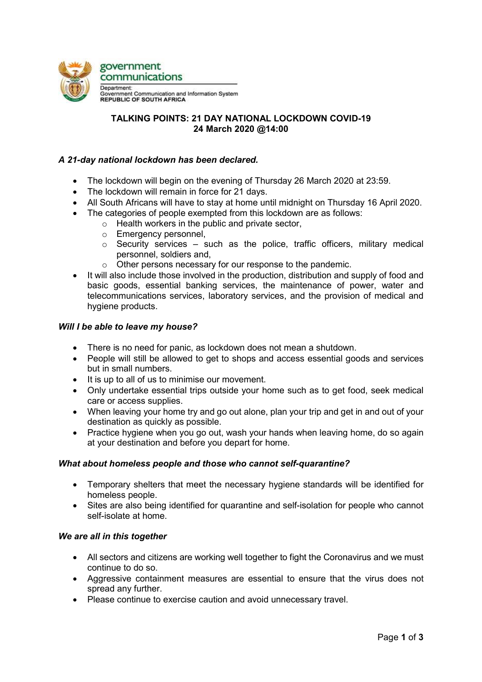

# TALKING POINTS: 21 DAY NATIONAL LOCKDOWN COVID-19 24 March 2020 @14:00

### A 21-day national lockdown has been declared.

- The lockdown will begin on the evening of Thursday 26 March 2020 at 23:59.
- The lockdown will remain in force for 21 days.
- All South Africans will have to stay at home until midnight on Thursday 16 April 2020.
- The categories of people exempted from this lockdown are as follows:
	- $\circ$  Health workers in the public and private sector.
		- o Emergency personnel,
		- $\circ$  Security services such as the police, traffic officers, military medical personnel, soldiers and,
		- o Other persons necessary for our response to the pandemic.
- It will also include those involved in the production, distribution and supply of food and basic goods, essential banking services, the maintenance of power, water and telecommunications services, laboratory services, and the provision of medical and hygiene products.

### Will I be able to leave my house?

- There is no need for panic, as lockdown does not mean a shutdown.
- People will still be allowed to get to shops and access essential goods and services but in small numbers.
- It is up to all of us to minimise our movement.
- Only undertake essential trips outside your home such as to get food, seek medical care or access supplies.
- When leaving your home try and go out alone, plan your trip and get in and out of your destination as quickly as possible.
- Practice hygiene when you go out, wash your hands when leaving home, do so again at your destination and before you depart for home.

### What about homeless people and those who cannot self-quarantine?

- Temporary shelters that meet the necessary hygiene standards will be identified for homeless people.
- Sites are also being identified for quarantine and self-isolation for people who cannot self-isolate at home.

### We are all in this together

- All sectors and citizens are working well together to fight the Coronavirus and we must continue to do so.
- Aggressive containment measures are essential to ensure that the virus does not spread any further.
- Please continue to exercise caution and avoid unnecessary travel.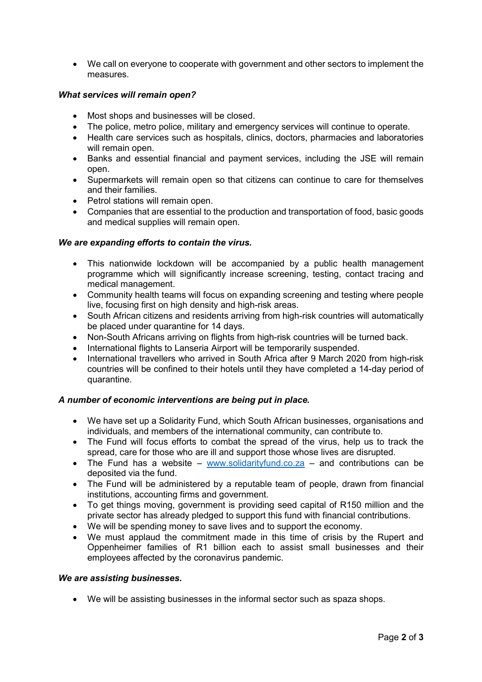We call on everyone to cooperate with government and other sectors to implement the measures.

### What services will remain open?

- Most shops and businesses will be closed.
- The police, metro police, military and emergency services will continue to operate.
- Health care services such as hospitals, clinics, doctors, pharmacies and laboratories will remain open.
- Banks and essential financial and payment services, including the JSE will remain open.
- Supermarkets will remain open so that citizens can continue to care for themselves and their families.
- Petrol stations will remain open.
- Companies that are essential to the production and transportation of food, basic goods and medical supplies will remain open.

### We are expanding efforts to contain the virus.

- This nationwide lockdown will be accompanied by a public health management programme which will significantly increase screening, testing, contact tracing and medical management.
- Community health teams will focus on expanding screening and testing where people live, focusing first on high density and high-risk areas.
- South African citizens and residents arriving from high-risk countries will automatically be placed under quarantine for 14 days.
- Non-South Africans arriving on flights from high-risk countries will be turned back.
- International flights to Lanseria Airport will be temporarily suspended.
- International travellers who arrived in South Africa after 9 March 2020 from high-risk countries will be confined to their hotels until they have completed a 14-day period of quarantine.

## A number of economic interventions are being put in place.

- We have set up a Solidarity Fund, which South African businesses, organisations and individuals, and members of the international community, can contribute to.
- The Fund will focus efforts to combat the spread of the virus, help us to track the spread, care for those who are ill and support those whose lives are disrupted.
- The Fund has a website www.solidarityfund.co.za and contributions can be deposited via the fund.
- The Fund will be administered by a reputable team of people, drawn from financial institutions, accounting firms and government.
- To get things moving, government is providing seed capital of R150 million and the private sector has already pledged to support this fund with financial contributions.
- We will be spending money to save lives and to support the economy.
- We must applaud the commitment made in this time of crisis by the Rupert and Oppenheimer families of R1 billion each to assist small businesses and their employees affected by the coronavirus pandemic.

### We are assisting businesses.

We will be assisting businesses in the informal sector such as spaza shops.